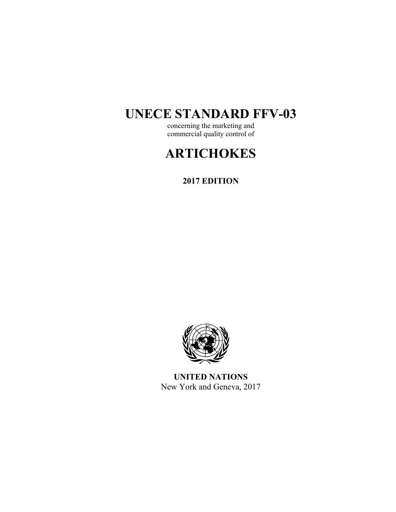# **UNECE STANDARD FFV-03**

concerning the marketing and commercial quality control of

# **ARTICHOKES**

**2017 EDITION** 



**UNITED NATIONS**  New York and Geneva, 2017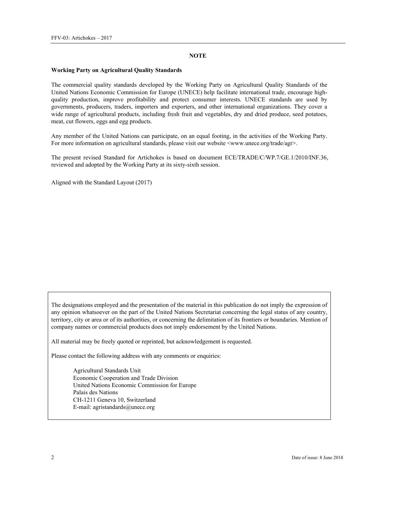#### **NOTE**

#### **Working Party on Agricultural Quality Standards**

The commercial quality standards developed by the Working Party on Agricultural Quality Standards of the United Nations Economic Commission for Europe (UNECE) help facilitate international trade, encourage highquality production, improve profitability and protect consumer interests. UNECE standards are used by governments, producers, traders, importers and exporters, and other international organizations. They cover a wide range of agricultural products, including fresh fruit and vegetables, dry and dried produce, seed potatoes, meat, cut flowers, eggs and egg products.

Any member of the United Nations can participate, on an equal footing, in the activities of the Working Party. For more information on agricultural standards, please visit our website <www.unece.org/trade/agr>.

The present revised Standard for Artichokes is based on document ECE/TRADE/C/WP.7/GE.1/2010/INF.36, reviewed and adopted by the Working Party at its sixty-sixth session.

Aligned with the Standard Layout (2017)

The designations employed and the presentation of the material in this publication do not imply the expression of any opinion whatsoever on the part of the United Nations Secretariat concerning the legal status of any country, territory, city or area or of its authorities, or concerning the delimitation of its frontiers or boundaries. Mention of company names or commercial products does not imply endorsement by the United Nations.

All material may be freely quoted or reprinted, but acknowledgement is requested.

Please contact the following address with any comments or enquiries:

Agricultural Standards Unit Economic Cooperation and Trade Division United Nations Economic Commission for Europe Palais des Nations CH-1211 Geneva 10, Switzerland E-mail: agristandards@unece.org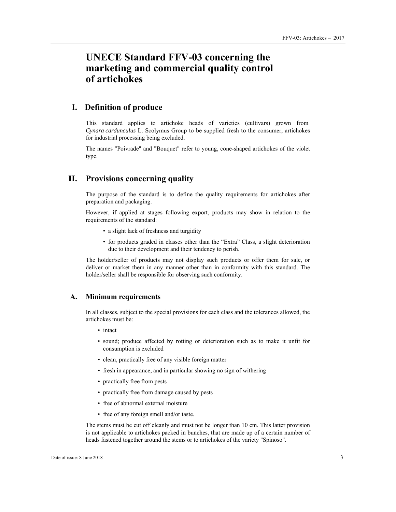## **UNECE Standard FFV-03 concerning the marketing and commercial quality control of artichokes**

## **I. Definition of produce**

This standard applies to artichoke heads of varieties (cultivars) grown from *Cynara cardunculus* L. Scolymus Group to be supplied fresh to the consumer, artichokes for industrial processing being excluded.

The names "Poivrade" and "Bouquet" refer to young, cone-shaped artichokes of the violet type.

## **II. Provisions concerning quality**

The purpose of the standard is to define the quality requirements for artichokes after preparation and packaging.

However, if applied at stages following export, products may show in relation to the requirements of the standard:

- a slight lack of freshness and turgidity
- for products graded in classes other than the "Extra" Class, a slight deterioration due to their development and their tendency to perish.

The holder/seller of products may not display such products or offer them for sale, or deliver or market them in any manner other than in conformity with this standard. The holder/seller shall be responsible for observing such conformity.

#### **A. Minimum requirements**

In all classes, subject to the special provisions for each class and the tolerances allowed, the artichokes must be:

- intact
- sound; produce affected by rotting or deterioration such as to make it unfit for consumption is excluded
- clean, practically free of any visible foreign matter
- fresh in appearance, and in particular showing no sign of withering
- practically free from pests
- practically free from damage caused by pests
- free of abnormal external moisture
- free of any foreign smell and/or taste.

The stems must be cut off cleanly and must not be longer than 10 cm. This latter provision is not applicable to artichokes packed in bunches, that are made up of a certain number of heads fastened together around the stems or to artichokes of the variety "Spinoso".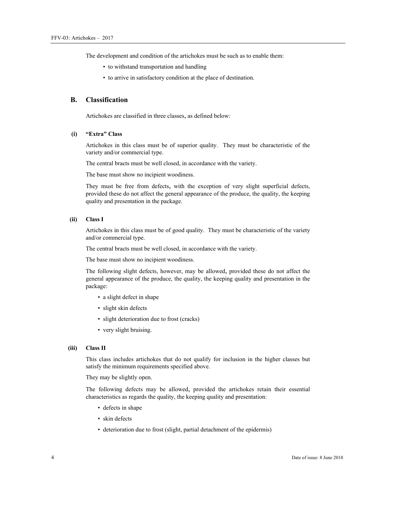The development and condition of the artichokes must be such as to enable them:

- to withstand transportation and handling
- to arrive in satisfactory condition at the place of destination.

## **B. Classification**

Artichokes are classified in three classes, as defined below:

#### **(i) "Extra" Class**

Artichokes in this class must be of superior quality. They must be characteristic of the variety and/or commercial type.

The central bracts must be well closed, in accordance with the variety.

The base must show no incipient woodiness.

They must be free from defects, with the exception of very slight superficial defects, provided these do not affect the general appearance of the produce, the quality, the keeping quality and presentation in the package.

#### **(ii) Class I**

Artichokes in this class must be of good quality. They must be characteristic of the variety and/or commercial type.

The central bracts must be well closed, in accordance with the variety.

The base must show no incipient woodiness.

The following slight defects, however, may be allowed, provided these do not affect the general appearance of the produce, the quality, the keeping quality and presentation in the package:

- a slight defect in shape
- slight skin defects
- slight deterioration due to frost (cracks)
- very slight bruising.

#### **(iii) Class II**

This class includes artichokes that do not qualify for inclusion in the higher classes but satisfy the minimum requirements specified above.

They may be slightly open.

The following defects may be allowed, provided the artichokes retain their essential characteristics as regards the quality, the keeping quality and presentation:

- defects in shape
- skin defects
- deterioration due to frost (slight, partial detachment of the epidermis)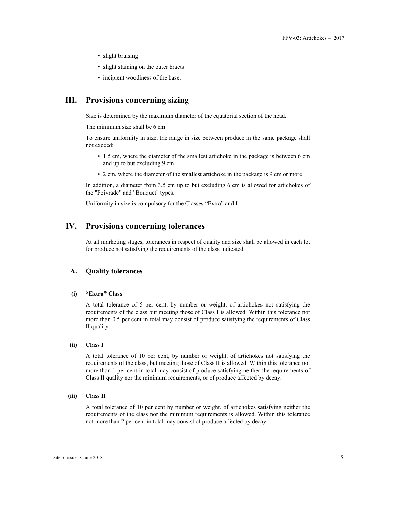- slight bruising
- slight staining on the outer bracts
- incipient woodiness of the base.

## **III. Provisions concerning sizing**

Size is determined by the maximum diameter of the equatorial section of the head.

The minimum size shall be 6 cm.

To ensure uniformity in size, the range in size between produce in the same package shall not exceed:

- 1.5 cm, where the diameter of the smallest artichoke in the package is between 6 cm and up to but excluding 9 cm
- 2 cm, where the diameter of the smallest artichoke in the package is 9 cm or more

In addition, a diameter from 3.5 cm up to but excluding 6 cm is allowed for artichokes of the "Poivrade" and "Bouquet" types.

Uniformity in size is compulsory for the Classes "Extra" and I.

## **IV. Provisions concerning tolerances**

At all marketing stages, tolerances in respect of quality and size shall be allowed in each lot for produce not satisfying the requirements of the class indicated.

#### **A. Quality tolerances**

#### **(i) "Extra" Class**

A total tolerance of 5 per cent, by number or weight, of artichokes not satisfying the requirements of the class but meeting those of Class I is allowed. Within this tolerance not more than 0.5 per cent in total may consist of produce satisfying the requirements of Class II quality.

#### **(ii) Class I**

A total tolerance of 10 per cent, by number or weight, of artichokes not satisfying the requirements of the class, but meeting those of Class II is allowed. Within this tolerance not more than 1 per cent in total may consist of produce satisfying neither the requirements of Class II quality nor the minimum requirements, or of produce affected by decay.

#### **(iii) Class II**

A total tolerance of 10 per cent by number or weight, of artichokes satisfying neither the requirements of the class nor the minimum requirements is allowed. Within this tolerance not more than 2 per cent in total may consist of produce affected by decay.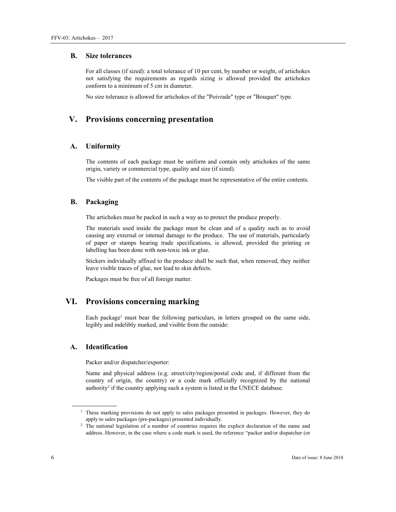#### **B. Size tolerances**

For all classes (if sized): a total tolerance of 10 per cent, by number or weight, of artichokes not satisfying the requirements as regards sizing is allowed provided the artichokes conform to a minimum of 5 cm in diameter.

No size tolerance is allowed for artichokes of the "Poivrade" type or "Bouquet" type.

## **V. Provisions concerning presentation**

### **A. Uniformity**

The contents of each package must be uniform and contain only artichokes of the same origin, variety or commercial type, quality and size (if sized).

The visible part of the contents of the package must be representative of the entire contents.

## **B. Packaging**

The artichokes must be packed in such a way as to protect the produce properly.

The materials used inside the package must be clean and of a quality such as to avoid causing any external or internal damage to the produce. The use of materials, particularly of paper or stamps bearing trade specifications, is allowed, provided the printing or labelling has been done with non-toxic ink or glue.

Stickers individually affixed to the produce shall be such that, when removed, they neither leave visible traces of glue, nor lead to skin defects.

Packages must be free of all foreign matter.

## **VI. Provisions concerning marking**

Each package<sup>1</sup> must bear the following particulars, in letters grouped on the same side, legibly and indelibly marked, and visible from the outside:

#### **A. Identification**

Packer and/or dispatcher/exporter:

Name and physical address (e.g. street/city/region/postal code and, if different from the country of origin, the country) or a code mark officially recognized by the national authority<sup>2</sup> if the country applying such a system is listed in the UNECE database.

 $\overline{a}$ 

<sup>&</sup>lt;sup>1</sup> These marking provisions do not apply to sales packages presented in packages. However, they do apply to sales packages (pre-packages) presented individually. 2

<sup>&</sup>lt;sup>2</sup> The national legislation of a number of countries requires the explicit declaration of the name and address. However, in the case where a code mark is used, the reference "packer and/or dispatcher (or